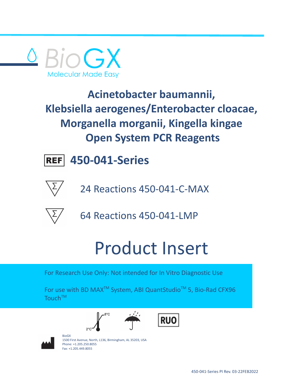



**450-041-Series**



24 Reactions 450-041-C-MAX



64 Reactions 450-041-LMP

# Product Insert

For Research Use Only: Not intended for In Vitro Diagnostic Use

For use with BD MAX<sup>™</sup> System, ABI QuantStudio<sup>™</sup> 5, Bio-Rad CFX96 Touch<sup>TM</sup>







BioGX 1500 First Avenue, North, L136, Birmingham, AL 35203, USA Phone: +1.205.250.8055 Fax: +1.205.449.8055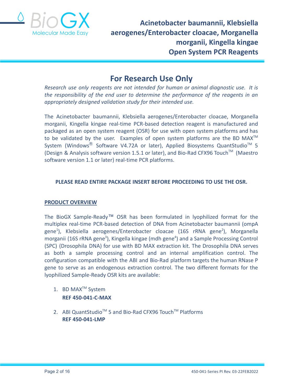

# **For Research Use Only**

*Research use only reagents are not intended for human or animal diagnostic use. It is the responsibility of the end user to determine the performance of the reagents in an appropriately designed validation study for their intended use.*

The Acinetobacter baumannii, Klebsiella aerogenes/Enterobacter cloacae, Morganella morganii, Kingella kingae real-time PCR-based detection reagent is manufactured and packaged as an open system reagent (OSR) for use with open system platforms and has to be validated by the user. Examples of open system platforms are the BD MAX<sup>TM</sup> System (Windows $^{\circledR}$  Software V4.72A or later), Applied Biosystems QuantStudio<sup>™</sup> 5 (Design & Analysis software version 1.5.1 or later), and Bio-Rad CFX96 Touch™ (Maestro software version 1.1 or later) real-time PCR platforms.

# **PLEASE READ ENTIRE PACKAGE INSERT BEFORE PROCEEDING TO USE THE OSR.**

# **PRODUCT OVERVIEW**

The BioGX Sample-Ready™ OSR has been formulated in lyophilized format for the multiplex real-time PCR-based detection of DNA from Acinetobacter baumannii (ompA gene<sup>1</sup>), Klebsiella aerogenes/Enterobacter cloacae (16S rRNA gene<sup>2</sup>), Morganella morganii (16S rRNA gene<sup>3</sup>), Kingella kingae (mdh gene<sup>4</sup>) and a Sample Processing Control (SPC) (Drosophila DNA) for use with BD MAX extraction kit. The Drosophila DNA serves as both a sample processing control and an internal amplification control. The configuration compatible with the ABI and Bio-Rad platform targets the human RNase P gene to serve as an endogenous extraction control. The two different formats for the lyophilized Sample-Ready OSR kits are available:

- 1. BD MAX<sup>™</sup> System **REF 450-041-C-MAX**
- 2. ABI QuantStudio<sup>™</sup> 5 and Bio-Rad CFX96 Touch<sup>™</sup> Platforms **REF 450-041-LMP**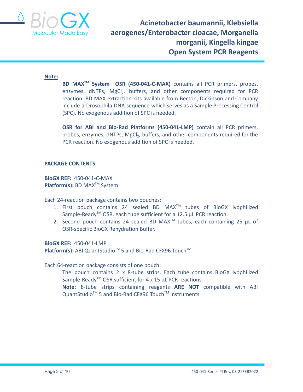

#### **Note:**

**BD MAXTM System OSR (450-041-C-MAX)** contains all PCR primers, probes, enzymes, dNTPs, MgCl<sub>2</sub>, buffers, and other components required for PCR reaction. BD MAX extraction kits available from Becton, Dickinson and Company include a Drosophila DNA sequence which serves as a Sample Processing Control (SPC). No exogenous addition of SPC is needed.

**OSR for ABI and Bio-Rad Platforms (450-041-LMP)** contain all PCR primers, probes, enzymes, dNTPs, MgCl<sub>2</sub>, buffers, and other components required for the PCR reaction. No exogenous addition of SPC is needed.

#### **PACKAGE CONTENTS**

**BioGX REF:** 450-041-C-MAX **Platform(s):** BD MAX<sup>™</sup> System

Each 24-reaction package contains two pouches:

- 1. First pouch contains 24 sealed BD MAX<sup>™</sup> tubes of BioGX lyophilized Sample-Ready<sup>™</sup> OSR, each tube sufficient for a 12.5 µL PCR reaction.
- 2. Second pouch contains 24 sealed BD MAX<sup>TM</sup> tubes, each containing 25  $\mu$ L of OSR-specific BioGX Rehydration Buffer.

**BioGX REF:** 450-041-LMP

Platform(s): ABI QuantStudio<sup>™</sup> 5 and Bio-Rad CFX96 Touch<sup>™</sup>

Each 64-reaction package consists of one pouch:

The pouch contains 2 x 8-tube strips. Each tube contains BioGX lyophilized Sample-Ready<sup>TM</sup> OSR sufficient for 4 x 15  $\mu$ L PCR reactions.

**Note:** 8-tube strips containing reagents **ARE NOT** compatible with ABI QuantStudio<sup>™</sup> 5 and Bio-Rad CFX96 Touch<sup>™</sup> instruments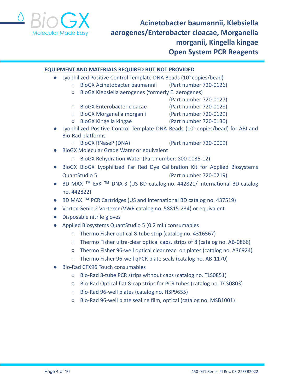

#### **EQUIPMENT AND MATERIALS REQUIRED BUT NOT PROVIDED**

- Lyophilized Positive Control Template DNA Beads  $(10^5 \text{ copies/head})$ 
	- BioGX Acinetobacter baumannii (Part number 720-0126)
		- BioGX Klebsiella aerogenes (formerly E. aerogenes)
			- (Part number 720-0127)
		- BioGX Enterobacter cloacae (Part number 720-0128)
		- BioGX Morganella morganii (Part number 720-0129)
		- BioGX Kingella kingae (Part number 720-0130)
- Lyophilized Positive Control Template DNA Beads  $(10^5 \text{ copies/bead})$  for ABI and Bio-Rad platforms
	- BioGX RNaseP (DNA) (Part number 720-0009)
- BioGX Molecular Grade Water or equivalent
	- BioGX Rehydration Water (Part number: 800-0035-12)
- BioGX BioGX Lyophilized Far Red Dye Calibration Kit for Applied Biosystems QuantStudio 5 (Part number 720-0219)
- BD MAX ™ ExK ™ DNA-3 (US BD catalog no. 442821/ International BD catalog no. 442822)
- BD MAX ™ PCR Cartridges (US and International BD catalog no. 437519)
- Vortex Genie 2 Vortexer (VWR catalog no. 58815-234) or equivalent
- Disposable nitrile gloves
- Applied Biosystems QuantStudio 5 (0.2 mL) consumables
	- Thermo Fisher optical 8-tube strip (catalog no. 4316567)
	- Thermo Fisher ultra-clear optical caps, strips of 8 (catalog no. AB-0866)
	- Thermo Fisher 96-well optical clear reac on plates (catalog no. A36924)
	- Thermo Fisher 96-well qPCR plate seals (catalog no. AB-1170)
- Bio-Rad CFX96 Touch consumables
	- Bio-Rad 8-tube PCR strips without caps (catalog no. TLS0851)
	- Bio-Rad Optical flat 8-cap strips for PCR tubes (catalog no. TCS0803)
	- Bio-Rad 96-well plates (catalog no. HSP9655)
	- Bio-Rad 96-well plate sealing film, optical (catalog no. MSB1001)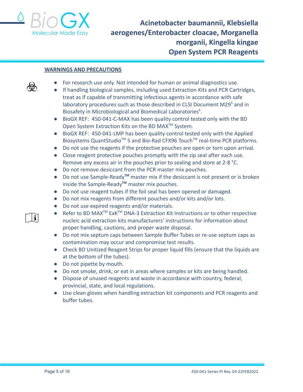

#### **WARNINGS AND PRECAUTIONS**

- For research use only. Not intended for human or animal diagnostics use.
- If handling biological samples, including used Extraction Kits and PCR Cartridges, treat as if capable of transmitting infectious agents in accordance with safe laboratory procedures such as those described in CLSI Document M29<sup>5</sup> and in Biosafety in Microbiological and Biomedical Laboratories<sup>6</sup>.
- BioGX REF: 450-041-C-MAX has been quality control tested only with the BD Open System Extraction Kits on the BD MAX<sup>™</sup> System.
- BioGX REF: 450-041-LMP has been quality control tested only with the Applied Biosystems QuantStudio<sup>™</sup> 5 and Bio-Rad CFX96 Touch<sup>™</sup> real-time PCR platforms.
- Do not use the reagents if the protective pouches are open or torn upon arrival.
- Close reagent protective pouches promptly with the zip seal after each use. Remove any excess air in the pouches prior to sealing and store at 2-8 °C.
- Do not remove desiccant from the PCR master mix pouches.
- Do not use Sample-Ready**TM** master mix if the desiccant is not present or is broken inside the Sample-Ready**TM** master mix pouches.
- Do not use reagent tubes if the foil seal has been opened or damaged.
- Do not mix reagents from different pouches and/or kits and/or lots.
- Do not use expired reagents and/or materials.
- Refer to BD MAX<sup>™</sup> ExK<sup>™</sup> DNA-3 Extraction Kit Instructions or to other respective nucleic acid extraction kits manufacturers' instructions for information about proper handling, cautions, and proper waste disposal.
- Do not mix septum caps between Sample Buffer Tubes or re-use septum caps as contamination may occur and compromise test results.
- Check BD Unitized Reagent Strips for proper liquid fills (ensure that the liquids are at the bottom of the tubes).
- Do not pipette by mouth.
- Do not smoke, drink, or eat in areas where samples or kits are being handled.
- Dispose of unused reagents and waste in accordance with country, federal, provincial, state, and local regulations.
- Use clean gloves when handling extraction kit components and PCR reagents and buffer tubes.

 $|\mathbf{i}|$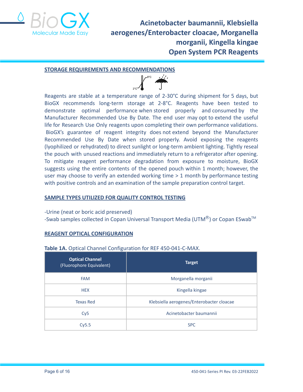

#### **STORAGE REQUIREMENTS AND RECOMMENDATIONS**



Reagents are stable at a temperature range of 2-30°C during shipment for 5 days, but BioGX recommends long-term storage at 2-8°C. Reagents have been tested to demonstrate optimal performance when stored properly and consumed by the Manufacturer Recommended Use By Date. The end user may opt to extend the useful life for Research Use Only reagents upon completing their own performance validations. BioGX's guarantee of reagent integrity does not extend beyond the Manufacturer Recommended Use By Date when stored properly. Avoid exposing the reagents (lyophilized or rehydrated) to direct sunlight or long-term ambient lighting. Tightly reseal the pouch with unused reactions and immediately return to a refrigerator after opening. To mitigate reagent performance degradation from exposure to moisture, BioGX suggests using the entire contents of the opened pouch within 1 month; however, the user may choose to verify an extended working time  $> 1$  month by performance testing with positive controls and an examination of the sample preparation control target.

#### **SAMPLE TYPES UTILIZED FOR QUALITY CONTROL TESTING**

-Urine (neat or boric acid preserved)

-Swab samples collected in Copan Universal Transport Media (UTM $^{\circledR}$ ) or Copan ESwab<sup>TM</sup>

# **REAGENT OPTICAL CONFIGURATION**

| Table 1A. Optical Channel Configuration for REF 450-041-C-MAX. |  |
|----------------------------------------------------------------|--|
|----------------------------------------------------------------|--|

| <b>Optical Channel</b><br>(Fluorophore Equivalent) | <b>Target</b>                             |
|----------------------------------------------------|-------------------------------------------|
| <b>FAM</b>                                         | Morganella morganii                       |
| <b>HEX</b>                                         | Kingella kingae                           |
| <b>Texas Red</b>                                   | Klebsiella aerogenes/Enterobacter cloacae |
| Cy <sub>5</sub>                                    | Acinetobacter baumannii                   |
| Cy5.5                                              | <b>SPC</b>                                |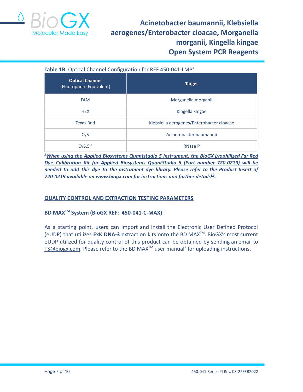

# Table 1B. Optical Channel Configuration for REF 450-041-LMP<sup>a</sup>.

| <b>Optical Channel</b><br>(Fluorophore Equivalent) | <b>Target</b>                             |  |  |
|----------------------------------------------------|-------------------------------------------|--|--|
| <b>FAM</b>                                         | Morganella morganii                       |  |  |
| <b>HEX</b>                                         | Kingella kingae                           |  |  |
| <b>Texas Red</b>                                   | Klebsiella aerogenes/Enterobacter cloacae |  |  |
| Cy5                                                | Acinetobacter baumannii                   |  |  |
| Cy5.5 $a$                                          | <b>RNase P</b>                            |  |  |

**<sup>a</sup>***When using the Applied Biosystems Quantstudio 5 instrument, the BioGX Lyophilized Far Red Dye Calibration Kit for Applied Biosystems QuantStudio 5 (Part number 720-0219) will be needed to add this dye to the instrument dye library. Please refer to the Product Insert of 720-0219 available on [www.biogx.com](http://www.biogx.com) for instructions and further details 10 .*

# **QUALITY CONTROL AND EXTRACTION TESTING PARAMETERS**

# **BD MAXTM System (BioGX REF: 450-041-C-MAX)**

As a starting point, users can import and install the Electronic User Defined Protocol (eUDP) that utilizes **ExK DNA-3** extraction kits onto the BD MAXTM . BioGX's most current eUDP utilized for quality control of this product can be obtained by sending an email to [TS@biogx.com](mailto:TS@biogx.com). Please refer to the BD MAX<sup>™</sup> user manual<sup>7</sup> for uploading instructions.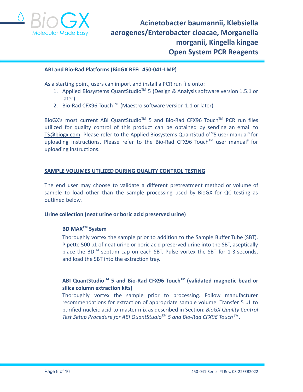

#### **ABI and Bio-Rad Platforms (BioGX REF: 450-041-LMP)**

As a starting point, users can import and install a PCR run file onto:

- 1. Applied Biosystems QuantStudio<sup>™</sup> 5 (Design & Analysis software version 1.5.1 or later)
- 2. Bio-Rad CFX96 Touch<sup>™</sup> (Maestro software version 1.1 or later)

BioGX's most current ABI QuantStudio<sup>™</sup> 5 and Bio-Rad CFX96 Touch<sup>™</sup> PCR run files utilized for quality control of this product can be obtained by sending an email to [TS@biogx.com](mailto:TS@biogx.com). Please refer to the Applied Biosystems QuantStudio<sup>™</sup>5 user manual<sup>8</sup> for uploading instructions. Please refer to the Bio-Rad CFX96 Touch™ user manual<sup>9</sup> for uploading instructions.

#### **SAMPLE VOLUMES UTILIZED DURING QUALITY CONTROL TESTING**

The end user may choose to validate a different pretreatment method or volume of sample to load other than the sample processing used by BioGX for QC testing as outlined below.

#### **Urine collection (neat urine or boric acid preserved urine)**

# **BD MAXTM System**

Thoroughly vortex the sample prior to addition to the Sample Buffer Tube (SBT). Pipette 500 μL of neat urine or boric acid preserved urine into the SBT, aseptically place the BD<sup>™</sup> septum cap on each SBT. Pulse vortex the SBT for 1-3 seconds, and load the SBT into the extraction tray.

# **ABI QuantStudioTM 5 and Bio-Rad CFX96 TouchTM (validated magnetic bead or silica column extraction kits)**

Thoroughly vortex the sample prior to processing. Follow manufacturer recommendations for extraction of appropriate sample volume. Transfer 5 μL to purified nucleic acid to master mix as described in Section: *BioGX Quality Control Test Setup Procedure for ABI QuantStudioTM 5 and Bio-Rad CFX96 Touch™.*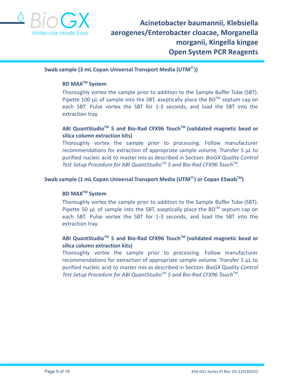

#### **Swab sample (3 mL Copan Universal Transport Media (UTM**Ⓡ**))**

# **BD MAXTM System**

Thoroughly vortex the sample prior to addition to the Sample Buffer Tube (SBT). Pipette 100  $\mu$ L of sample into the SBT, aseptically place the BD<sup>TM</sup> septum cap on each SBT. Pulse vortex the SBT for 1-3 seconds, and load the SBT into the extraction tray.

# **ABI QuantStudioTM 5 and Bio-Rad CFX96 TouchTM (validated magnetic bead or silica column extraction kits)**

Thoroughly vortex the sample prior to processing. Follow manufacturer recommendations for extraction of appropriate sample volume. Transfer 5 μL to purified nucleic acid to master mix as described in Section: *BioGX Quality Control Test Setup Procedure for ABI QuantStudioTM 5 and Bio-Rad CFX96 TouchTM .*

# **Swab sample (1 mL Copan Universal Transport Media (UTM**Ⓡ**) or Copan ESwabTM )**

# **BD MAXTM System**

Thoroughly vortex the sample prior to addition to the Sample Buffer Tube (SBT). Pipette 50  $\mu$ L of sample into the SBT, aseptically place the BD<sup>TM</sup> septum cap on each SBT. Pulse vortex the SBT for 1-3 seconds, and load the SBT into the extraction tray.

# **ABI QuantStudioTM 5 and Bio-Rad CFX96 TouchTM (validated magnetic bead or silica column extraction kits)**

Thoroughly vortex the sample prior to processing. Follow manufacturer recommendations for extraction of appropriate sample volume. Transfer 5 μL to purified nucleic acid to master mix as described in Section: *BioGX Quality Control Test Setup Procedure for ABI QuantStudioTM 5 and Bio-Rad CFX96 TouchTM .*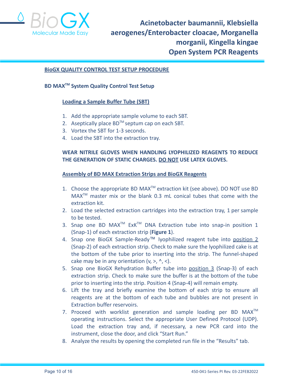

#### **BioGX QUALITY CONTROL TEST SETUP PROCEDURE**

# **BD MAXTM System Quality Control Test Setup**

#### **Loading a Sample Buffer Tube (SBT)**

- 1. Add the appropriate sample volume to each SBT.
- 2. Aseptically place  $BD^{TM}$  septum cap on each SBT.
- 3. Vortex the SBT for 1-3 seconds.
- 4. Load the SBT into the extraction tray.

# **WEAR NITRILE GLOVES WHEN HANDLING LYOPHILIZED REAGENTS TO REDUCE THE GENERATION OF STATIC CHARGES. DO NOT USE LATEX GLOVES.**

#### **Assembly of BD MAX Extraction Strips and BioGX Reagents**

- 1. Choose the appropriate BD MAX<sup>™</sup> extraction kit (see above). DO NOT use BD  $MAX^{TM}$  master mix or the blank 0.3 mL conical tubes that come with the extraction kit.
- 2. Load the selected extraction cartridges into the extraction tray, 1 per sample to be tested.
- 3. Snap one BD MAX<sup>TM</sup> ExK<sup>TM</sup> DNA Extraction tube into snap-in position 1 (Snap-1) of each extraction strip (**Figure 1**).
- 4. Snap one BioGX Sample-Ready™ lyophilized reagent tube into position 2 (Snap-2) of each extraction strip. Check to make sure the lyophilized cake is at the bottom of the tube prior to inserting into the strip. The funnel-shaped cake may be in any orientation  $(v, >, \land, <)$ .
- 5. Snap one BioGX Rehydration Buffer tube into position 3 (Snap-3) of each extraction strip. Check to make sure the buffer is at the bottom of the tube prior to inserting into the strip. Position 4 (Snap-4) will remain empty.
- 6. Lift the tray and briefly examine the bottom of each strip to ensure all reagents are at the bottom of each tube and bubbles are not present in Extraction buffer reservoirs.
- 7. Proceed with worklist generation and sample loading per BD  $MAX^{TM}$ operating instructions. Select the appropriate User Defined Protocol (UDP). Load the extraction tray and, if necessary, a new PCR card into the instrument, close the door, and click "Start Run."
- 8. Analyze the results by opening the completed run file in the "Results" tab.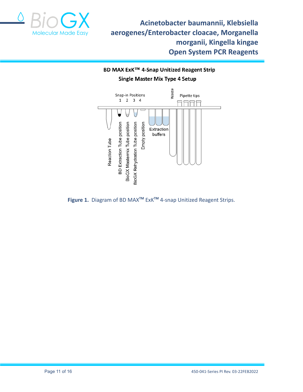

BD MAX ExK™ 4-Snap Unitized Reagent Strip **Single Master Mix Type 4 Setup** 



**Figure 1.** Diagram of BD MAX**TM** ExK**TM** 4-snap Unitized Reagent Strips.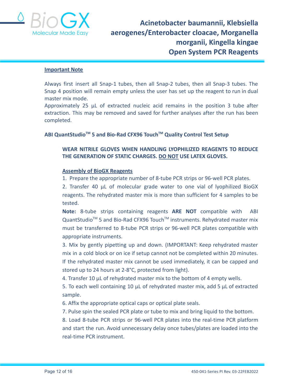

#### **Important Note**

Always first insert all Snap-1 tubes, then all Snap-2 tubes, then all Snap-3 tubes. The Snap 4 position will remain empty unless the user has set up the reagent to run in dual master mix mode.

Approximately 25 µL of extracted nucleic acid remains in the position 3 tube after extraction. This may be removed and saved for further analyses after the run has been completed.

# **ABI QuantStudioTM 5 and Bio-Rad CFX96 TouchTM Quality Control Test Setup**

# **WEAR NITRILE GLOVES WHEN HANDLING LYOPHILIZED REAGENTS TO REDUCE THE GENERATION OF STATIC CHARGES. DO NOT USE LATEX GLOVES.**

#### **Assembly of BioGX Reagents**

1. Prepare the appropriate number of 8-tube PCR strips or 96-well PCR plates.

2. Transfer 40 μL of molecular grade water to one vial of lyophilized BioGX reagents. The rehydrated master mix is more than sufficient for 4 samples to be tested.

**Note:** 8-tube strips containing reagents **ARE NOT** compatible with ABI QuantStudio<sup>™</sup> 5 and Bio-Rad CFX96 Touch<sup>™</sup> instruments. Rehydrated master mix must be transferred to 8-tube PCR strips or 96-well PCR plates compatible with appropriate instruments.

3. Mix by gently pipetting up and down. (IMPORTANT: Keep rehydrated master mix in a cold block or on ice if setup cannot not be completed within 20 minutes. If the rehydrated master mix cannot be used immediately, it can be capped and stored up to 24 hours at 2-8°C, protected from light).

4. Transfer 10 μL of rehydrated master mix to the bottom of 4 empty wells.

5. To each well containing 10 μL of rehydrated master mix, add 5 μL of extracted sample.

6. Affix the appropriate optical caps or optical plate seals.

7. Pulse spin the sealed PCR plate or tube to mix and bring liquid to the bottom.

8. Load 8-tube PCR strips or 96-well PCR plates into the real-time PCR platform and start the run. Avoid unnecessary delay once tubes/plates are loaded into the real-time PCR instrument.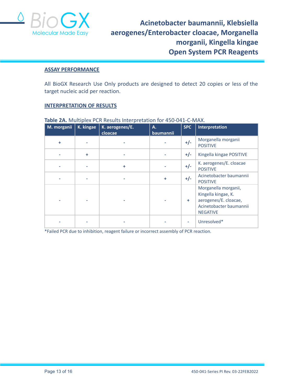

#### **ASSAY PERFORMANCE**

All BioGX Research Use Only products are designed to detect 20 copies or less of the target nucleic acid per reaction.

#### **INTERPRETATION OF RESULTS**

| M. morganii | K. kingae | K. aerogenes/E.<br>cloacae | Α.<br>baumannii | <b>SPC</b> | Interpretation                                                                                                     |
|-------------|-----------|----------------------------|-----------------|------------|--------------------------------------------------------------------------------------------------------------------|
| ÷           |           |                            |                 | $+/-$      | Morganella morganii<br><b>POSITIVE</b>                                                                             |
|             | ÷         |                            |                 | $+/-$      | Kingella kingae POSITIVE                                                                                           |
|             |           | ÷                          |                 | $+/-$      | K. aerogenes/E. cloacae<br><b>POSITIVE</b>                                                                         |
|             |           |                            | ٠               | $+/-$      | Acinetobacter baumannii<br><b>POSITIVE</b>                                                                         |
|             |           |                            |                 | ÷          | Morganella morganii,<br>Kingella kingae, K.<br>aerogenes/E. cloacae,<br>Acinetobacter baumannii<br><b>NEGATIVE</b> |
|             |           |                            |                 |            | Unresolved*                                                                                                        |

# **Table 2A.** Multiplex PCR Results Interpretation for 450-041-C-MAX.

\*Failed PCR due to inhibition, reagent failure or incorrect assembly of PCR reaction.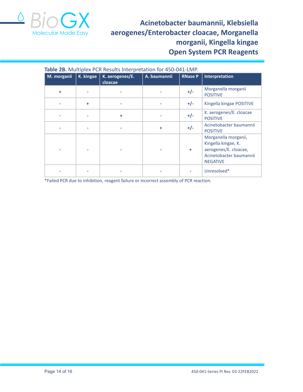

| Table 2B. Multiplex PCR Results Interpretation for 450-041-LMP. |           |                            |              |                |                                                                                                                    |
|-----------------------------------------------------------------|-----------|----------------------------|--------------|----------------|--------------------------------------------------------------------------------------------------------------------|
| M. morganii                                                     | K. kingae | K. aerogenes/E.<br>cloacae | A. baumannii | <b>RNase P</b> | Interpretation                                                                                                     |
| ÷                                                               |           |                            |              | $+/-$          | Morganella morganii<br><b>POSITIVE</b>                                                                             |
|                                                                 | ÷         |                            |              | $+/-$          | Kingella kingae POSITIVE                                                                                           |
|                                                                 |           | ÷                          |              | $+/-$          | K. aerogenes/E. cloacae<br><b>POSITIVE</b>                                                                         |
|                                                                 |           |                            | ÷            | $+/-$          | Acinetobacter baumannii<br><b>POSITIVE</b>                                                                         |
|                                                                 |           |                            |              | ÷              | Morganella morganii,<br>Kingella kingae, K.<br>aerogenes/E. cloacae,<br>Acinetobacter baumannii<br><b>NEGATIVE</b> |
|                                                                 |           |                            |              |                | Unresolved*                                                                                                        |

\*Failed PCR due to inhibition, reagent failure or incorrect assembly of PCR reaction.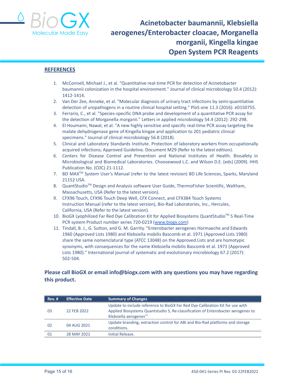

#### **REFERENCES**

- 1. McConnell, Michael J., et al. "Quantitative real-time PCR for detection of Acinetobacter baumannii colonization in the hospital environment." Journal of clinical microbiology 50.4 (2012): 1412-1414.
- 2. Van Der Zee, Anneke, et al. "Molecular diagnosis of urinary tract infections by semi-quantitative detection of uropathogens in a routine clinical hospital setting." PloS one 11.3 (2016): e0150755.
- 3. Ferrario, C., et al. "Species‐specific DNA probe and development of a quantitative PCR assay for the detection of Morganella morganii." Letters in applied microbiology 54.4 (2012): 292-298.
- 4. El Houmami, Nawal, et al. "A new highly sensitive and specific real-time PCR assay targeting the malate dehydrogenase gene of Kingella kingae and application to 201 pediatric clinical specimens." Journal of clinical microbiology 56.8 (2018).
- 5. Clinical and Laboratory Standards Institute. Protection of laboratory workers from occupationally acquired infections; Approved Guideline. Document M29 (Refer to the latest edition).
- 6. Centers for Disease Control and Prevention and National Institutes of Health. Biosafety in Microbiological and Biomedical Laboratories. Choosewood L.C. and Wilson D.E. (eds) (2009). HHS Publication No. (CDC) 21-1112.
- 7. BD MAX<sup>™</sup> System User's Manual (refer to the latest revision) BD Life Sciences, Sparks, Maryland 21152 USA.
- 8. QuantStudio<sup>™</sup> Design and Analysis software User Guide, ThermoFisher Scientific, Waltham, Massachusetts, USA (Refer to the latest version).
- 9. CFX96 Touch, CFX96 Touch Deep Well, CFX Connect, and CFX384 Touch Systems Instruction Manual (refer to the latest version), Bio-Rad Laboratories, Inc., Hercules, California, USA (Refer to the latest version).
- 10. BioGX Lyophilized Far Red Dye Calibration Kit for Applied Biosystems QuantStudio™ 5 Real-Time PCR system Product number series 720-0219 ([www.biogx.com\)](http://www.biogx.com)
- 11. Tindall, B. J., G. Sutton, and G. M. Garrity. "Enterobacter aerogenes Hormaeche and Edwards 1960 (Approved Lists 1980) and Klebsiella mobilis Bascomb et al. 1971 (Approved Lists 1980) share the same nomenclatural type (ATCC 13048) on the Approved Lists and are homotypic synonyms, with consequences for the name Klebsiella mobilis Bascomb et al. 1971 (Approved Lists 1980)." International journal of systematic and evolutionary microbiology 67.2 (2017): 502-504.

# **Please call BioGX or email info@biogx.com with any questions you may have regarding this product.**

| <b>Rev. #</b> | <b>Effective Date</b> | <b>Summary of Changes</b>                                                                                                                                                                               |
|---------------|-----------------------|---------------------------------------------------------------------------------------------------------------------------------------------------------------------------------------------------------|
| -03           | 22 FEB 2022           | Update to include reference to BioGX Far Red Dye Calibration Kit for use with<br>Applied Biosystems Quantstudio 5, Re-classification of Enterobacter aerogenes to<br>Klebsiella aerogenes <sup>11</sup> |
| 02            | 04 AUG 2021           | Update branding, extraction control for ABI and Bio-Rad platforms and storage<br>conditions.                                                                                                            |
| 01            | 28 MAY 2021           | Initial Release.                                                                                                                                                                                        |